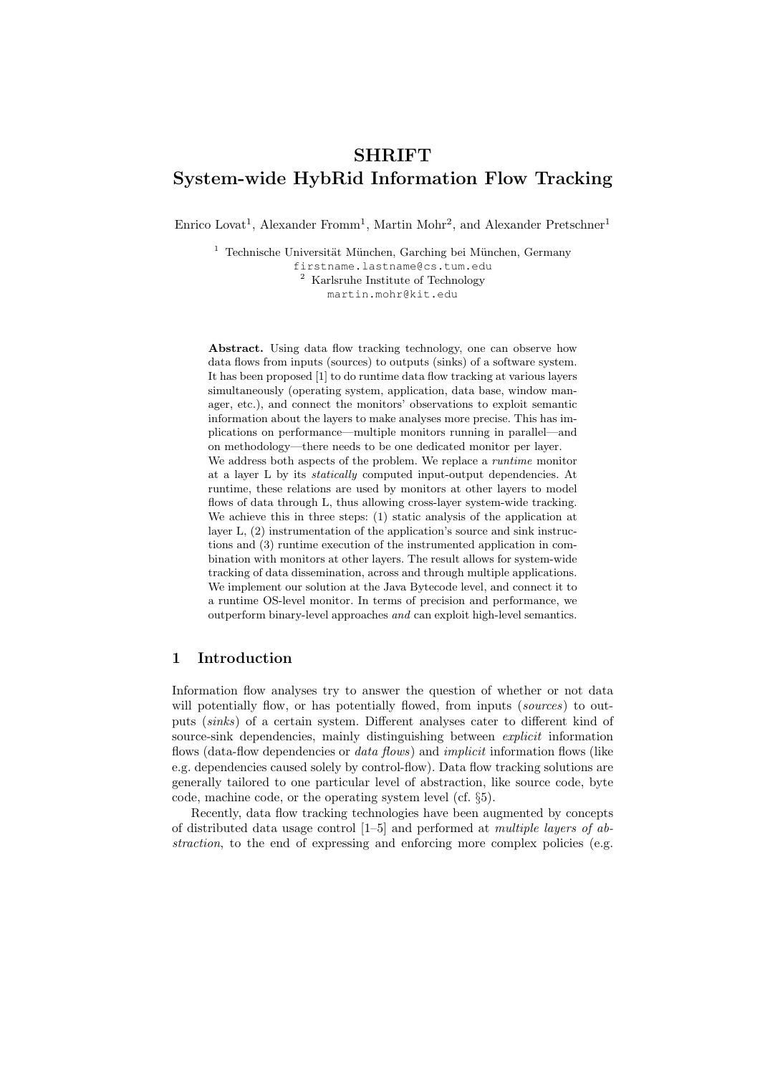# SHRIFT System-wide HybRid Information Flow Tracking

Enrico Lovat<sup>1</sup>, Alexander Fromm<sup>1</sup>, Martin Mohr<sup>2</sup>, and Alexander Pretschner<sup>1</sup>

 $1$  Technische Universität München, Garching bei München, Germany firstname.lastname@cs.tum.edu <sup>2</sup> Karlsruhe Institute of Technology martin.mohr@kit.edu

Abstract. Using data flow tracking technology, one can observe how data flows from inputs (sources) to outputs (sinks) of a software system. It has been proposed [1] to do runtime data flow tracking at various layers simultaneously (operating system, application, data base, window manager, etc.), and connect the monitors' observations to exploit semantic information about the layers to make analyses more precise. This has implications on performance—multiple monitors running in parallel—and on methodology—there needs to be one dedicated monitor per layer. We address both aspects of the problem. We replace a runtime monitor at a layer L by its statically computed input-output dependencies. At runtime, these relations are used by monitors at other layers to model flows of data through L, thus allowing cross-layer system-wide tracking. We achieve this in three steps: (1) static analysis of the application at layer L, (2) instrumentation of the application's source and sink instructions and (3) runtime execution of the instrumented application in combination with monitors at other layers. The result allows for system-wide tracking of data dissemination, across and through multiple applications. We implement our solution at the Java Bytecode level, and connect it to a runtime OS-level monitor. In terms of precision and performance, we outperform binary-level approaches and can exploit high-level semantics.

# 1 Introduction

Information flow analyses try to answer the question of whether or not data will potentially flow, or has potentially flowed, from inputs (sources) to outputs (sinks) of a certain system. Different analyses cater to different kind of source-sink dependencies, mainly distinguishing between *explicit* information flows (data-flow dependencies or *data flows*) and *implicit* information flows (like e.g. dependencies caused solely by control-flow). Data flow tracking solutions are generally tailored to one particular level of abstraction, like source code, byte code, machine code, or the operating system level (cf. §5).

Recently, data flow tracking technologies have been augmented by concepts of distributed data usage control [1–5] and performed at multiple layers of abstraction, to the end of expressing and enforcing more complex policies (e.g.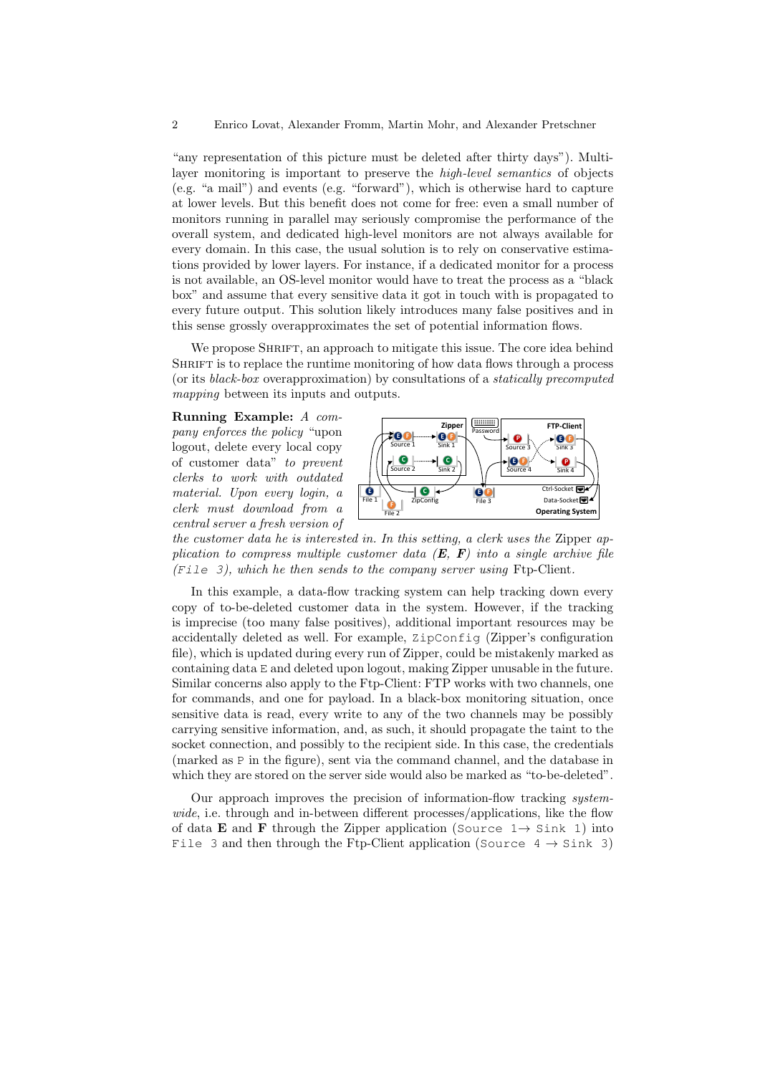"any representation of this picture must be deleted after thirty days"). Multilayer monitoring is important to preserve the high-level semantics of objects (e.g. "a mail") and events (e.g. "forward"), which is otherwise hard to capture at lower levels. But this benefit does not come for free: even a small number of monitors running in parallel may seriously compromise the performance of the overall system, and dedicated high-level monitors are not always available for every domain. In this case, the usual solution is to rely on conservative estimations provided by lower layers. For instance, if a dedicated monitor for a process is not available, an OS-level monitor would have to treat the process as a "black box" and assume that every sensitive data it got in touch with is propagated to every future output. This solution likely introduces many false positives and in this sense grossly overapproximates the set of potential information flows.

We propose SHRIFT, an approach to mitigate this issue. The core idea behind SHRIFT is to replace the runtime monitoring of how data flows through a process (or its black-box overapproximation) by consultations of a statically precomputed mapping between its inputs and outputs.

Running Example: A company enforces the policy "upon logout, delete every local copy of customer data" to prevent clerks to work with outdated material. Upon every login, a clerk must download from a central server a fresh version of



the customer data he is interested in. In this setting, a clerk uses the Zipper application to compress multiple customer data  $(E, F)$  into a single archive file (File 3), which he then sends to the company server using Ftp-Client.

In this example, a data-flow tracking system can help tracking down every copy of to-be-deleted customer data in the system. However, if the tracking is imprecise (too many false positives), additional important resources may be accidentally deleted as well. For example, ZipConfig (Zipper's configuration file), which is updated during every run of Zipper, could be mistakenly marked as containing data E and deleted upon logout, making Zipper unusable in the future. Similar concerns also apply to the Ftp-Client: FTP works with two channels, one for commands, and one for payload. In a black-box monitoring situation, once sensitive data is read, every write to any of the two channels may be possibly carrying sensitive information, and, as such, it should propagate the taint to the socket connection, and possibly to the recipient side. In this case, the credentials (marked as P in the figure), sent via the command channel, and the database in which they are stored on the server side would also be marked as "to-be-deleted".

Our approach improves the precision of information-flow tracking systemwide, i.e. through and in-between different processes/applications, like the flow of data **E** and **F** through the Zipper application (Source  $1 \rightarrow$  Sink 1) into File 3 and then through the Ftp-Client application (Source  $4 \rightarrow$  Sink 3)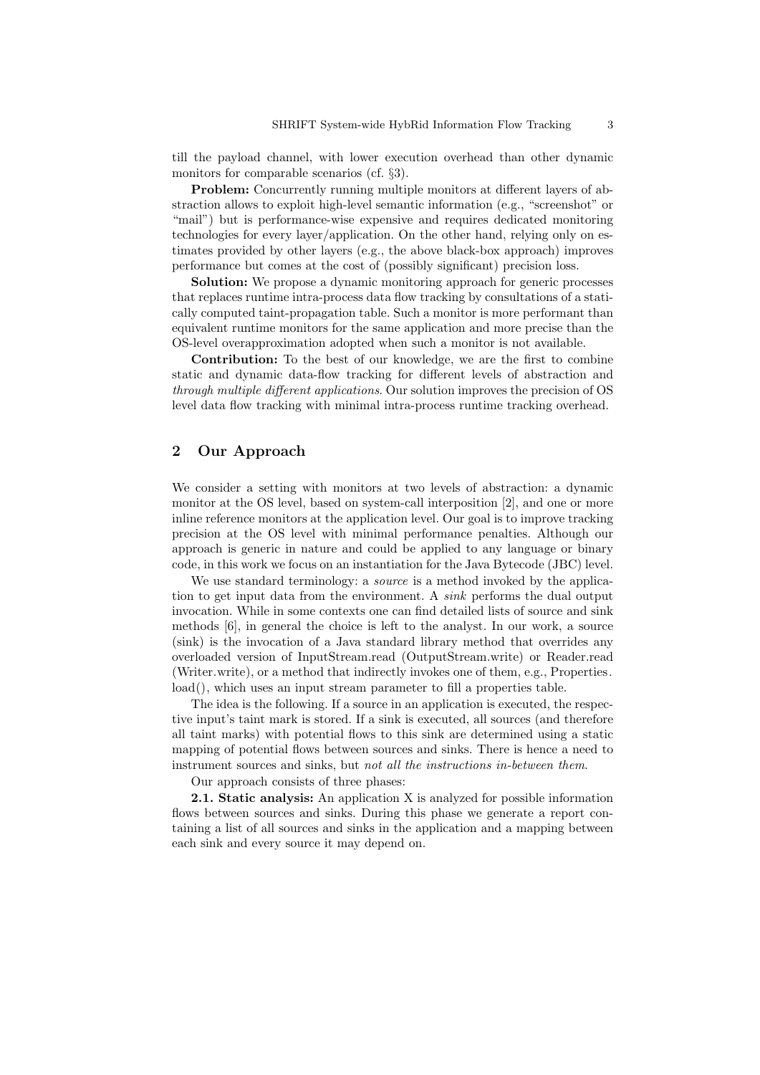till the payload channel, with lower execution overhead than other dynamic monitors for comparable scenarios (cf. §3).

Problem: Concurrently running multiple monitors at different layers of abstraction allows to exploit high-level semantic information (e.g., "screenshot" or "mail") but is performance-wise expensive and requires dedicated monitoring technologies for every layer/application. On the other hand, relying only on estimates provided by other layers (e.g., the above black-box approach) improves performance but comes at the cost of (possibly significant) precision loss.

Solution: We propose a dynamic monitoring approach for generic processes that replaces runtime intra-process data flow tracking by consultations of a statically computed taint-propagation table. Such a monitor is more performant than equivalent runtime monitors for the same application and more precise than the OS-level overapproximation adopted when such a monitor is not available.

Contribution: To the best of our knowledge, we are the first to combine static and dynamic data-flow tracking for different levels of abstraction and through multiple different applications. Our solution improves the precision of OS level data flow tracking with minimal intra-process runtime tracking overhead.

# 2 Our Approach

We consider a setting with monitors at two levels of abstraction: a dynamic monitor at the OS level, based on system-call interposition [2], and one or more inline reference monitors at the application level. Our goal is to improve tracking precision at the OS level with minimal performance penalties. Although our approach is generic in nature and could be applied to any language or binary code, in this work we focus on an instantiation for the Java Bytecode (JBC) level.

We use standard terminology: a *source* is a method invoked by the application to get input data from the environment. A sink performs the dual output invocation. While in some contexts one can find detailed lists of source and sink methods [6], in general the choice is left to the analyst. In our work, a source (sink) is the invocation of a Java standard library method that overrides any overloaded version of InputStream.read (OutputStream.write) or Reader.read (Writer.write), or a method that indirectly invokes one of them, e.g., Properties. load(), which uses an input stream parameter to fill a properties table.

The idea is the following. If a source in an application is executed, the respective input's taint mark is stored. If a sink is executed, all sources (and therefore all taint marks) with potential flows to this sink are determined using a static mapping of potential flows between sources and sinks. There is hence a need to instrument sources and sinks, but not all the instructions in-between them.

Our approach consists of three phases:

2.1. Static analysis: An application X is analyzed for possible information flows between sources and sinks. During this phase we generate a report containing a list of all sources and sinks in the application and a mapping between each sink and every source it may depend on.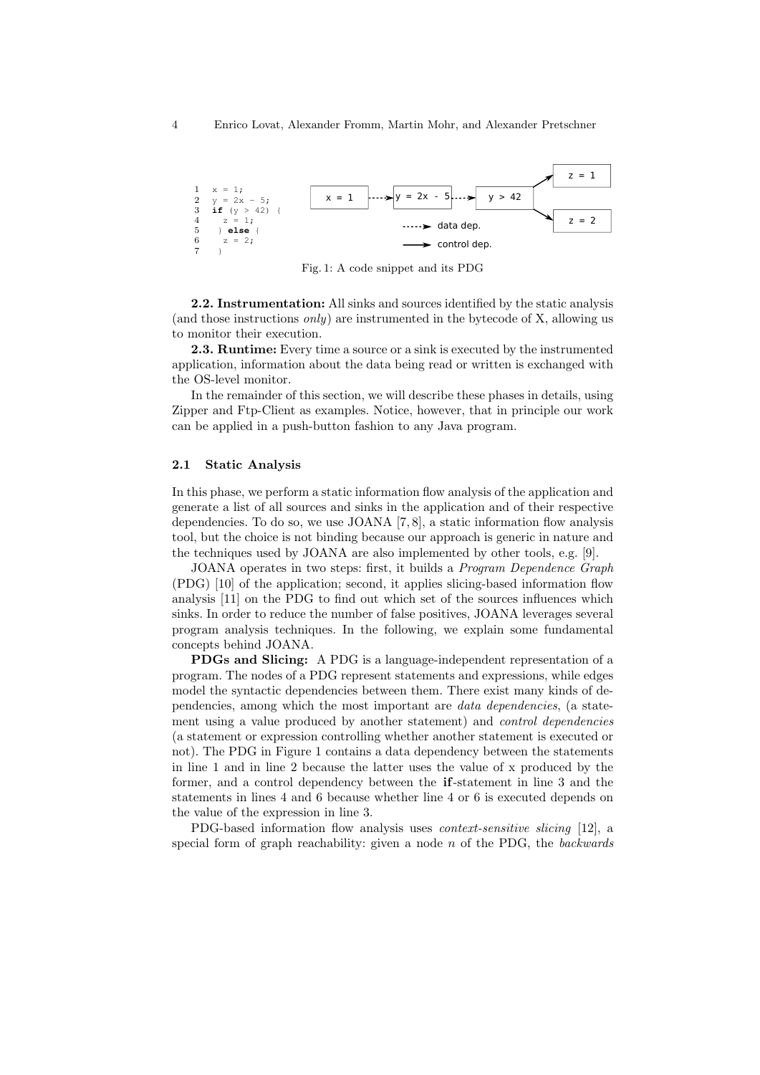

Fig. 1: A code snippet and its PDG

2.2. Instrumentation: All sinks and sources identified by the static analysis (and those instructions *only*) are instrumented in the bytecode of X, allowing us to monitor their execution.

2.3. Runtime: Every time a source or a sink is executed by the instrumented application, information about the data being read or written is exchanged with the OS-level monitor.

In the remainder of this section, we will describe these phases in details, using Zipper and Ftp-Client as examples. Notice, however, that in principle our work can be applied in a push-button fashion to any Java program.

#### 2.1 Static Analysis

In this phase, we perform a static information flow analysis of the application and generate a list of all sources and sinks in the application and of their respective dependencies. To do so, we use JOANA [7, 8], a static information flow analysis tool, but the choice is not binding because our approach is generic in nature and the techniques used by JOANA are also implemented by other tools, e.g. [9].

JOANA operates in two steps: first, it builds a Program Dependence Graph (PDG) [10] of the application; second, it applies slicing-based information flow analysis [11] on the PDG to find out which set of the sources influences which sinks. In order to reduce the number of false positives, JOANA leverages several program analysis techniques. In the following, we explain some fundamental concepts behind JOANA.

PDGs and Slicing: A PDG is a language-independent representation of a program. The nodes of a PDG represent statements and expressions, while edges model the syntactic dependencies between them. There exist many kinds of dependencies, among which the most important are data dependencies, (a statement using a value produced by another statement) and *control dependencies* (a statement or expression controlling whether another statement is executed or not). The PDG in Figure 1 contains a data dependency between the statements in line 1 and in line 2 because the latter uses the value of x produced by the former, and a control dependency between the if-statement in line 3 and the statements in lines 4 and 6 because whether line 4 or 6 is executed depends on the value of the expression in line 3.

PDG-based information flow analysis uses context-sensitive slicing [12], a special form of graph reachability: given a node n of the PDG, the *backwards*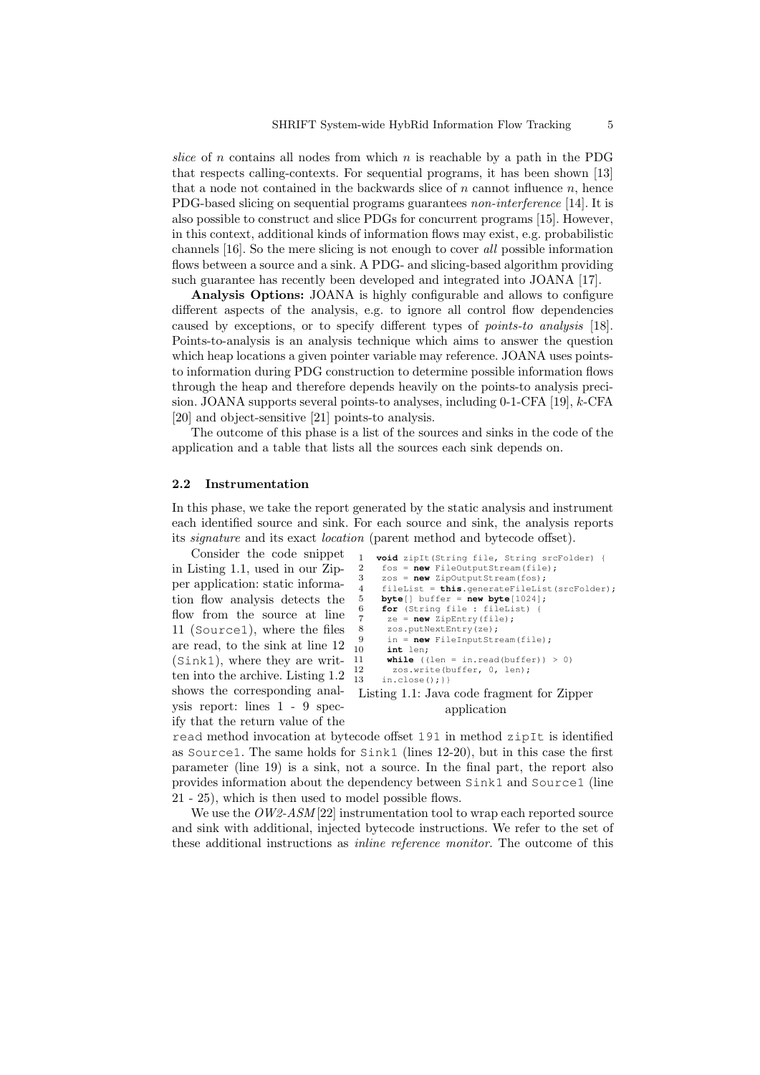slice of n contains all nodes from which n is reachable by a path in the PDG that respects calling-contexts. For sequential programs, it has been shown [13] that a node not contained in the backwards slice of  $n$  cannot influence  $n$ , hence PDG-based slicing on sequential programs guarantees non-interference [14]. It is also possible to construct and slice PDGs for concurrent programs [15]. However, in this context, additional kinds of information flows may exist, e.g. probabilistic channels [16]. So the mere slicing is not enough to cover all possible information flows between a source and a sink. A PDG- and slicing-based algorithm providing such guarantee has recently been developed and integrated into JOANA [17].

Analysis Options: JOANA is highly configurable and allows to configure different aspects of the analysis, e.g. to ignore all control flow dependencies caused by exceptions, or to specify different types of points-to analysis [18]. Points-to-analysis is an analysis technique which aims to answer the question which heap locations a given pointer variable may reference. JOANA uses pointsto information during PDG construction to determine possible information flows through the heap and therefore depends heavily on the points-to analysis precision. JOANA supports several points-to analyses, including 0-1-CFA [19], k-CFA [20] and object-sensitive [21] points-to analysis.

The outcome of this phase is a list of the sources and sinks in the code of the application and a table that lists all the sources each sink depends on.

## 2.2 Instrumentation

In this phase, we take the report generated by the static analysis and instrument each identified source and sink. For each source and sink, the analysis reports its signature and its exact location (parent method and bytecode offset).

```
Consider the code snippet
in Listing 1.1, used in our Zip-
per application: static informa-
tion flow analysis detects the
flow from the source at line
11 (Source1), where the files
are read, to the sink at line 12
(Sink1), where they are writ-
ten into the archive. Listing 1.2
shows the corresponding anal-
ysis report: lines 1 - 9 spec-
ify that the return value of the
```

```
1 void zipIt(String file, String srcFolder) {
 2 fos = new FileOutputStream(file);
 3 zos = new ZipOutputStream(fos);
 4 fileList = this.generateFileList(srcFolder);<br>5 byte[1 buffer = new byte[10241:
 5 byte[] buffer = new byte[1024];<br>6 for (String file: fileList) {
      for (String file : fileList) {
       7 ze = new ZipEntry(file);
 8 zos.putNextEntry(ze);
 9 in = new FileInputStream(file);
10 int len;
11 while ((len = in.read(buffer)) > 0)
12 zos.write(buffer, 0, len);<br>13 in.close():}}
      in.close(); }}
 Listing 1.1: Java code fragment for Zipper
                   application
```
read method invocation at bytecode offset 191 in method zipIt is identified as Source1. The same holds for Sink1 (lines 12-20), but in this case the first parameter (line 19) is a sink, not a source. In the final part, the report also provides information about the dependency between Sink1 and Source1 (line 21 - 25), which is then used to model possible flows.

We use the  $OW2\text{-}ASM [22]$  instrumentation tool to wrap each reported source and sink with additional, injected bytecode instructions. We refer to the set of these additional instructions as inline reference monitor. The outcome of this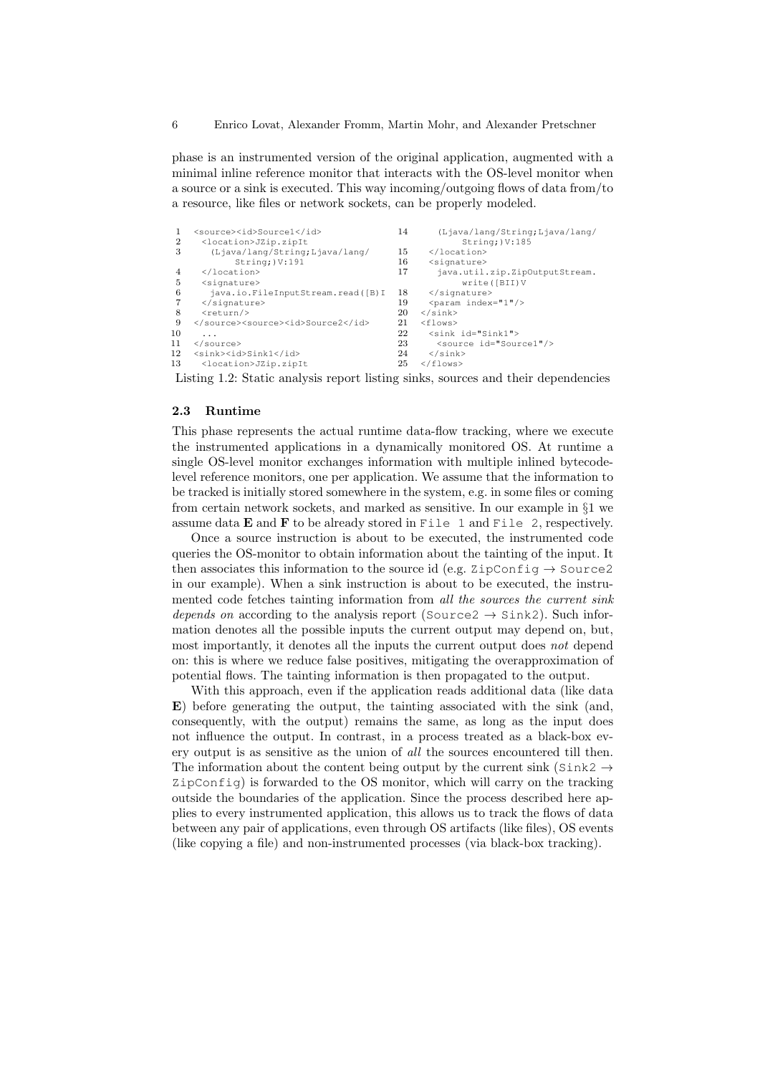phase is an instrumented version of the original application, augmented with a minimal inline reference monitor that interacts with the OS-level monitor when a source or a sink is executed. This way incoming/outgoing flows of data from/to a resource, like files or network sockets, can be properly modeled.

```
1 <source><id>Source1</id><br>2 <location>JZip_zipIt
 2 <location>JZip.zipIt<br>3 (Ljava/lang/String)
           3 (Ljava/lang/String;Ljava/lang/
                 String;)V:191
 4 </location>
 5 <signature>
 6 java.io.FileInputStream.read([B)I
 7 </signature><br>8 <return/>
         8 <return/>
 9 </source><source><id>Source2</id>
10<br>1111 </source><br>12 <sink><id
      12 <sink><id>Sink1</id>
13 <location>JZip.zipIt
                                                                14 (Ljava/lang/String;Ljava/lang/
                                                                                  String;)V:185
                                                                15 </location>
                                                                16 <signature><br>17 iava.util
                                                                            java.util.zip.ZipOutputStream.
                                                                                  write([BII)V
                                                                18 </signature>
                                                                19 <param index="1"/>
                                                                20 \leq / \sin k21 \n<br>\n22 \n<br>\n510Ws22 <sink id="Sink1"><br>23 <source id="Sou
                                                                23 \leq \leq \leq \leq \leq \leq \leq \leq \leq \leq \leq \leq \leq \leq \leq \leq \leq \leq \leq \leq \leq \leq \leq \leq \leq \leq \leq \leq \leq \leq \leq \leq \leq \leq \leq \leq \\langle/sink>
                                                                25 \leq /flows>
```
Listing 1.2: Static analysis report listing sinks, sources and their dependencies

## 2.3 Runtime

This phase represents the actual runtime data-flow tracking, where we execute the instrumented applications in a dynamically monitored OS. At runtime a single OS-level monitor exchanges information with multiple inlined bytecodelevel reference monitors, one per application. We assume that the information to be tracked is initially stored somewhere in the system, e.g. in some files or coming from certain network sockets, and marked as sensitive. In our example in §1 we assume data  $E$  and  $F$  to be already stored in File 1 and File 2, respectively.

Once a source instruction is about to be executed, the instrumented code queries the OS-monitor to obtain information about the tainting of the input. It then associates this information to the source id (e.g. ZipConfig  $\rightarrow$  Source2 in our example). When a sink instruction is about to be executed, the instrumented code fetches tainting information from all the sources the current sink depends on according to the analysis report (Source  $2 \rightarrow$  Sink2). Such information denotes all the possible inputs the current output may depend on, but, most importantly, it denotes all the inputs the current output does not depend on: this is where we reduce false positives, mitigating the overapproximation of potential flows. The tainting information is then propagated to the output.

With this approach, even if the application reads additional data (like data E) before generating the output, the tainting associated with the sink (and, consequently, with the output) remains the same, as long as the input does not influence the output. In contrast, in a process treated as a black-box every output is as sensitive as the union of all the sources encountered till then. The information about the content being output by the current sink (Sink2  $\rightarrow$ ZipConfig) is forwarded to the OS monitor, which will carry on the tracking outside the boundaries of the application. Since the process described here applies to every instrumented application, this allows us to track the flows of data between any pair of applications, even through OS artifacts (like files), OS events (like copying a file) and non-instrumented processes (via black-box tracking).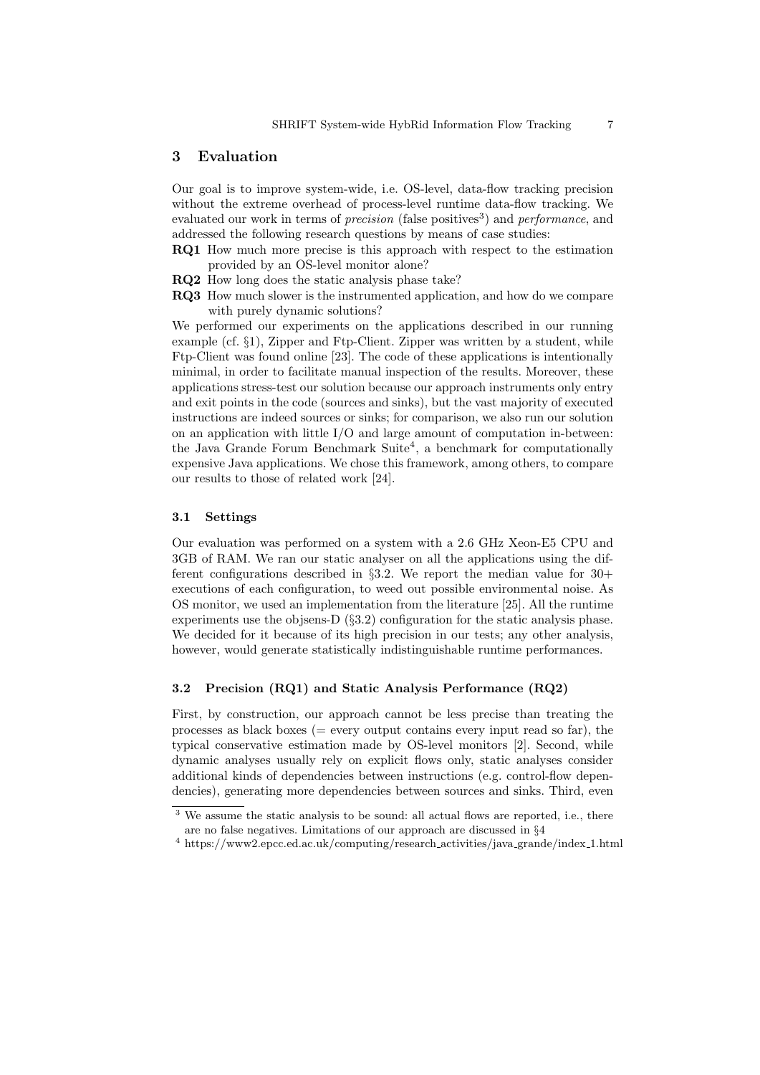## 3 Evaluation

Our goal is to improve system-wide, i.e. OS-level, data-flow tracking precision without the extreme overhead of process-level runtime data-flow tracking. We evaluated our work in terms of *precision* (false positives<sup>3</sup>) and *performance*, and addressed the following research questions by means of case studies:

- RQ1 How much more precise is this approach with respect to the estimation provided by an OS-level monitor alone?
- RQ2 How long does the static analysis phase take?
- RQ3 How much slower is the instrumented application, and how do we compare with purely dynamic solutions?

We performed our experiments on the applications described in our running example (cf. §1), Zipper and Ftp-Client. Zipper was written by a student, while Ftp-Client was found online [23]. The code of these applications is intentionally minimal, in order to facilitate manual inspection of the results. Moreover, these applications stress-test our solution because our approach instruments only entry and exit points in the code (sources and sinks), but the vast majority of executed instructions are indeed sources or sinks; for comparison, we also run our solution on an application with little  $I/O$  and large amount of computation in-between: the Java Grande Forum Benchmark Suite<sup>4</sup>, a benchmark for computationally expensive Java applications. We chose this framework, among others, to compare our results to those of related work [24].

#### 3.1 Settings

Our evaluation was performed on a system with a 2.6 GHz Xeon-E5 CPU and 3GB of RAM. We ran our static analyser on all the applications using the different configurations described in §3.2. We report the median value for 30+ executions of each configuration, to weed out possible environmental noise. As OS monitor, we used an implementation from the literature [25]. All the runtime experiments use the objsens-D (§3.2) configuration for the static analysis phase. We decided for it because of its high precision in our tests; any other analysis, however, would generate statistically indistinguishable runtime performances.

### 3.2 Precision (RQ1) and Static Analysis Performance (RQ2)

First, by construction, our approach cannot be less precise than treating the processes as black boxes ( $=$  every output contains every input read so far), the typical conservative estimation made by OS-level monitors [2]. Second, while dynamic analyses usually rely on explicit flows only, static analyses consider additional kinds of dependencies between instructions (e.g. control-flow dependencies), generating more dependencies between sources and sinks. Third, even

<sup>&</sup>lt;sup>3</sup> We assume the static analysis to be sound: all actual flows are reported, i.e., there are no false negatives. Limitations of our approach are discussed in §4

 $^4$ https://www2.epcc.ed.ac.uk/computing/research\_activities/java\_grande/index\_1.html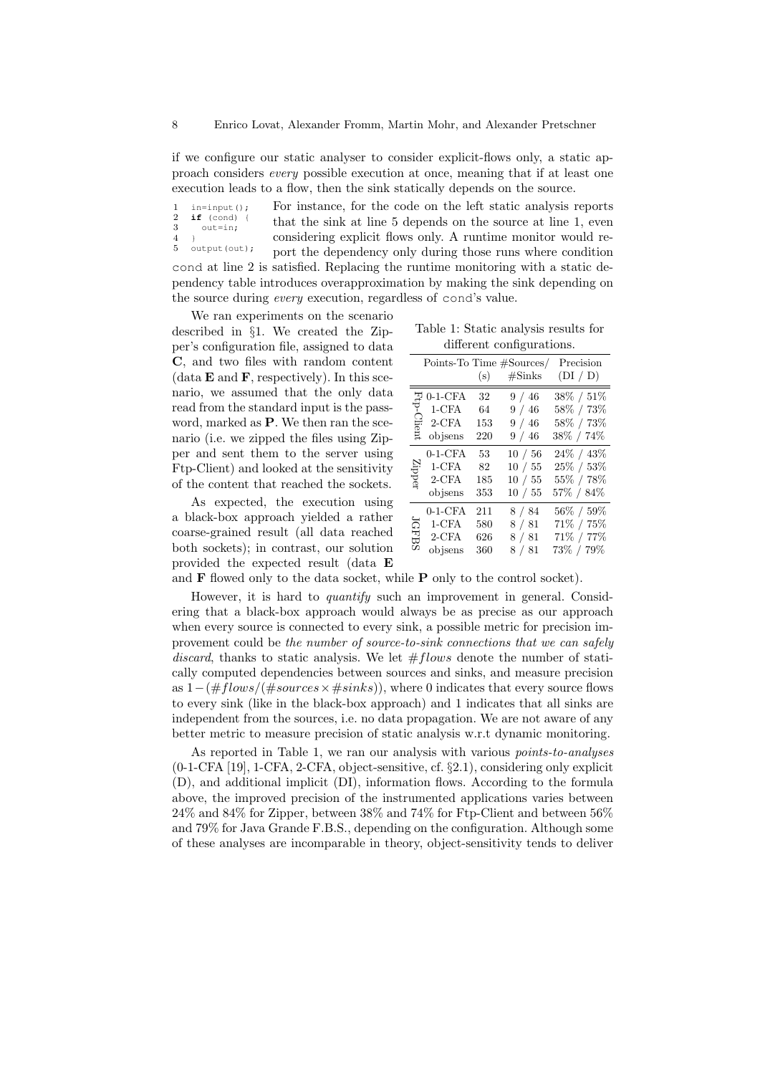if we configure our static analyser to consider explicit-flows only, a static approach considers every possible execution at once, meaning that if at least one execution leads to a flow, then the sink statically depends on the source.

1 in=input();<br>2 if  $(\text{cond})$  $\frac{2}{3}$  **if** (cond) out=in;  $\overline{A}$ 5 output(out); For instance, for the code on the left static analysis reports that the sink at line 5 depends on the source at line 1, even considering explicit flows only. A runtime monitor would report the dependency only during those runs where condition cond at line 2 is satisfied. Replacing the runtime monitoring with a static dependency table introduces overapproximation by making the sink depending on the source during every execution, regardless of cond's value.

We ran experiments on the scenario described in §1. We created the Zipper's configuration file, assigned to data C, and two files with random content  $(data \, \mathbf{E}$  and  $\mathbf{F}$ , respectively). In this scenario, we assumed that the only data read from the standard input is the password, marked as P. We then ran the scenario (i.e. we zipped the files using Zipper and sent them to the server using Ftp-Client) and looked at the sensitivity of the content that reached the sockets.

As expected, the execution using a black-box approach yielded a rather coarse-grained result (all data reached both sockets); in contrast, our solution provided the expected result (data E

Table 1: Static analysis results for different configurations.

|        |                | (s) | Points-To Time #Sources/<br>$\#\mathrm{Sinks}$ | Precision<br>(DI/D) |  |  |  |  |  |  |  |
|--------|----------------|-----|------------------------------------------------|---------------------|--|--|--|--|--|--|--|
| Ĕ      | $0-1$ -CFA     | 32  | 9/46                                           | $38\% / 51\%$       |  |  |  |  |  |  |  |
|        | 1-CFA          | 64  | 9/46                                           | 58% / 73%           |  |  |  |  |  |  |  |
|        | $\equiv$ 2-CFA | 153 | 9/46                                           | $58\% / 73\%$       |  |  |  |  |  |  |  |
|        | objsens        | 220 | 9/46                                           | $38\%$ / $74\%$     |  |  |  |  |  |  |  |
| Zipper | 0-1-CFA        | 53  | 10/56                                          | 24\% / 43\%         |  |  |  |  |  |  |  |
|        | $1$ -CFA       | 82  | 10/55                                          | $25\%$ / $53\%$     |  |  |  |  |  |  |  |
|        | $2$ -CFA       | 185 | 10/55                                          | $55\%$ / $78\%$     |  |  |  |  |  |  |  |
|        | objsens        | 353 | 10/55                                          | 57% / 84%           |  |  |  |  |  |  |  |
| JGFBS  | $0-1$ -CFA     | 211 | 8 / 84                                         | $56\%$ / $59\%$     |  |  |  |  |  |  |  |
|        | $1$ -CFA       | 580 | 8/81                                           | 71% / 75%           |  |  |  |  |  |  |  |
|        | 2-CFA          | 626 | 8/81                                           | 71% / 77%           |  |  |  |  |  |  |  |
|        | objsens        | 360 | 8/81                                           | 73% / 79%           |  |  |  |  |  |  |  |

and  $F$  flowed only to the data socket, while  $P$  only to the control socket).

However, it is hard to *quantify* such an improvement in general. Considering that a black-box approach would always be as precise as our approach when every source is connected to every sink, a possible metric for precision improvement could be the number of source-to-sink connections that we can safely discard, thanks to static analysis. We let  $\# flows$  denote the number of statically computed dependencies between sources and sinks, and measure precision as  $1-(\#flows/(\# sources \times \# sinks))$ , where 0 indicates that every source flows to every sink (like in the black-box approach) and 1 indicates that all sinks are independent from the sources, i.e. no data propagation. We are not aware of any better metric to measure precision of static analysis w.r.t dynamic monitoring.

As reported in Table 1, we ran our analysis with various points-to-analyses (0-1-CFA [19], 1-CFA, 2-CFA, object-sensitive, cf. §2.1), considering only explicit (D), and additional implicit (DI), information flows. According to the formula above, the improved precision of the instrumented applications varies between 24% and 84% for Zipper, between 38% and 74% for Ftp-Client and between 56% and 79% for Java Grande F.B.S., depending on the configuration. Although some of these analyses are incomparable in theory, object-sensitivity tends to deliver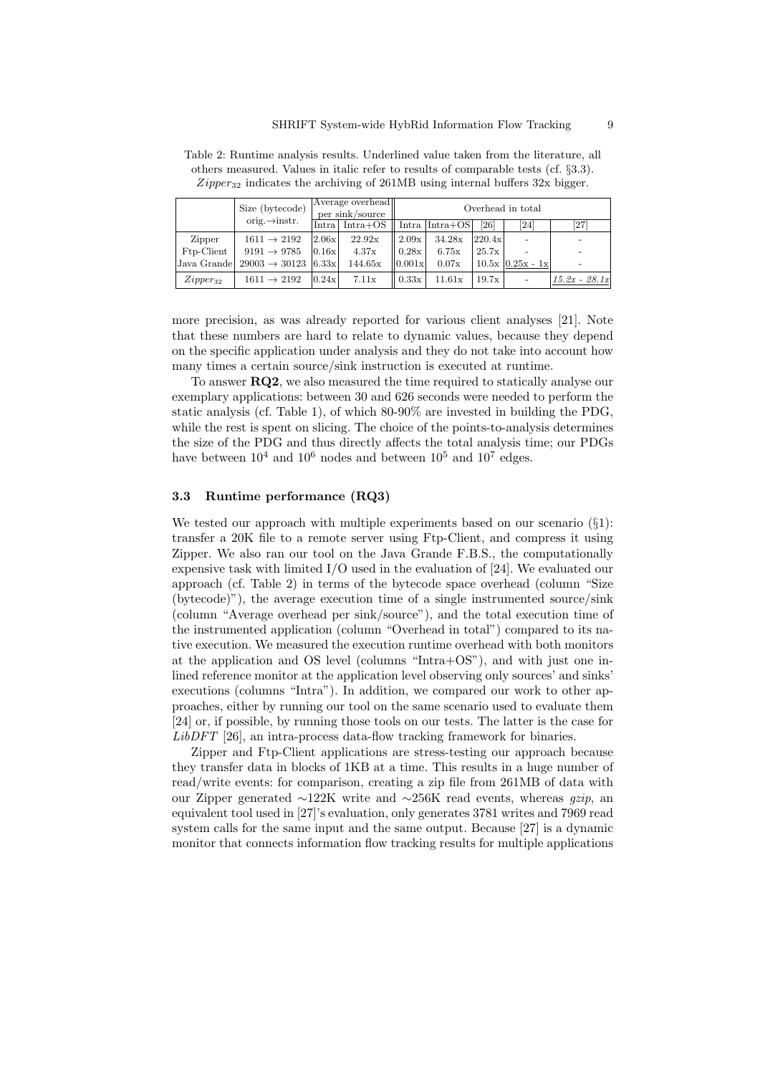|                         | Size (bytecode)                               | Average overhead<br>per sink/source |                     | Overhead in total      |                    |        |                      |                          |
|-------------------------|-----------------------------------------------|-------------------------------------|---------------------|------------------------|--------------------|--------|----------------------|--------------------------|
|                         | orig. $\rightarrow$ instr.                    |                                     | $Intra$ Intra+ $OS$ |                        | Intra $ Intra+OS $ | [26]   | $\overline{24}$      | [27]                     |
| Zipper                  | $1611 \rightarrow 2192$                       | 2.06x                               | 22.92x              | 2.09x                  | 34.28x             | 220.4x |                      | $\overline{\phantom{0}}$ |
| F <sub>tp</sub> -Client | $9191 \rightarrow 9785$                       | 0.16x                               | 4.37x               | 0.28x                  | 6.75x              | 25.7x  |                      |                          |
|                         | Java Grande 29003 $\rightarrow$ 30123 [6.33x] |                                     | 144.65x             | $\vert$ 0.001x $\vert$ | 0.07x              |        | $ 10.5x 0.25x - 1x $ |                          |
| $Zipper_{32}$           | $1611 \rightarrow 2192$                       | 0.24x                               | 7.11x               | 0.33x                  | 11.61x             | 19.7x  |                      | $15.2x - 28.1x$          |

Table 2: Runtime analysis results. Underlined value taken from the literature, all others measured. Values in italic refer to results of comparable tests (cf. §3.3).  $Zipper_{32}$  indicates the archiving of 261MB using internal buffers 32x bigger.

more precision, as was already reported for various client analyses [21]. Note that these numbers are hard to relate to dynamic values, because they depend on the specific application under analysis and they do not take into account how many times a certain source/sink instruction is executed at runtime.

To answer RQ2, we also measured the time required to statically analyse our exemplary applications: between 30 and 626 seconds were needed to perform the static analysis (cf. Table 1), of which 80-90% are invested in building the PDG, while the rest is spent on slicing. The choice of the points-to-analysis determines the size of the PDG and thus directly affects the total analysis time; our PDGs have between  $10^4$  and  $10^6$  nodes and between  $10^5$  and  $10^7$  edges.

## 3.3 Runtime performance (RQ3)

We tested our approach with multiple experiments based on our scenario  $(\S1)$ : transfer a 20K file to a remote server using Ftp-Client, and compress it using Zipper. We also ran our tool on the Java Grande F.B.S., the computationally expensive task with limited I/O used in the evaluation of [24]. We evaluated our approach (cf. Table 2) in terms of the bytecode space overhead (column "Size (bytecode)"), the average execution time of a single instrumented source/sink (column "Average overhead per sink/source"), and the total execution time of the instrumented application (column "Overhead in total") compared to its native execution. We measured the execution runtime overhead with both monitors at the application and OS level (columns "Intra+OS"), and with just one inlined reference monitor at the application level observing only sources' and sinks' executions (columns "Intra"). In addition, we compared our work to other approaches, either by running our tool on the same scenario used to evaluate them [24] or, if possible, by running those tools on our tests. The latter is the case for LibDFT [26], an intra-process data-flow tracking framework for binaries.

Zipper and Ftp-Client applications are stress-testing our approach because they transfer data in blocks of 1KB at a time. This results in a huge number of read/write events: for comparison, creating a zip file from 261MB of data with our Zipper generated ∼122K write and ∼256K read events, whereas gzip, an equivalent tool used in [27]'s evaluation, only generates 3781 writes and 7969 read system calls for the same input and the same output. Because [27] is a dynamic monitor that connects information flow tracking results for multiple applications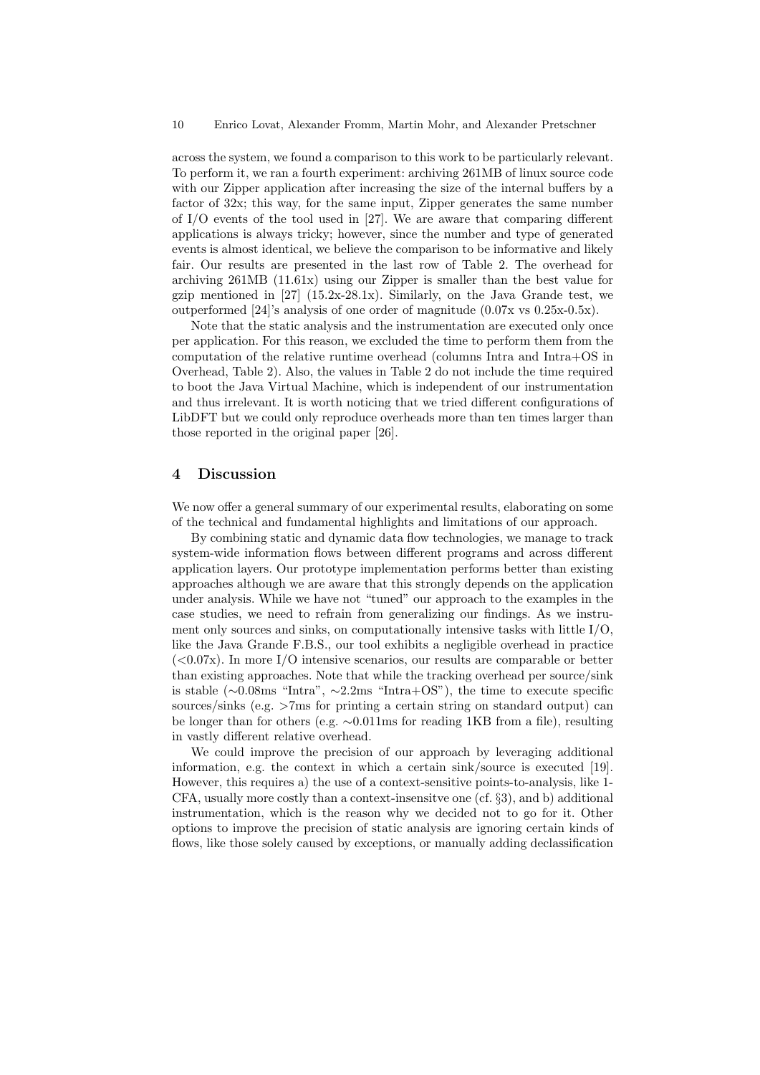across the system, we found a comparison to this work to be particularly relevant. To perform it, we ran a fourth experiment: archiving 261MB of linux source code with our Zipper application after increasing the size of the internal buffers by a factor of  $32x$ ; this way, for the same input, Zipper generates the same number of I/O events of the tool used in [27]. We are aware that comparing different applications is always tricky; however, since the number and type of generated events is almost identical, we believe the comparison to be informative and likely fair. Our results are presented in the last row of Table 2. The overhead for archiving 261MB (11.61x) using our Zipper is smaller than the best value for gzip mentioned in  $[27]$  (15.2x-28.1x). Similarly, on the Java Grande test, we outperformed [24]'s analysis of one order of magnitude (0.07x vs 0.25x-0.5x).

Note that the static analysis and the instrumentation are executed only once per application. For this reason, we excluded the time to perform them from the computation of the relative runtime overhead (columns Intra and Intra+OS in Overhead, Table 2). Also, the values in Table 2 do not include the time required to boot the Java Virtual Machine, which is independent of our instrumentation and thus irrelevant. It is worth noticing that we tried different configurations of LibDFT but we could only reproduce overheads more than ten times larger than those reported in the original paper [26].

# 4 Discussion

We now offer a general summary of our experimental results, elaborating on some of the technical and fundamental highlights and limitations of our approach.

By combining static and dynamic data flow technologies, we manage to track system-wide information flows between different programs and across different application layers. Our prototype implementation performs better than existing approaches although we are aware that this strongly depends on the application under analysis. While we have not "tuned" our approach to the examples in the case studies, we need to refrain from generalizing our findings. As we instrument only sources and sinks, on computationally intensive tasks with little  $I/O$ , like the Java Grande F.B.S., our tool exhibits a negligible overhead in practice  $(<0.07x$ ). In more I/O intensive scenarios, our results are comparable or betterthan existing approaches. Note that while the tracking overhead per source/sink is stable (∼0.08ms "Intra", ∼2.2ms "Intra+OS"), the time to execute specific sources/sinks (e.g.  $>7$ ms for printing a certain string on standard output) can be longer than for others (e.g. ∼0.011ms for reading 1KB from a file), resulting in vastly different relative overhead.

We could improve the precision of our approach by leveraging additional information, e.g. the context in which a certain sink/source is executed [19]. However, this requires a) the use of a context-sensitive points-to-analysis, like 1- CFA, usually more costly than a context-insensitve one (cf. §3), and b) additional instrumentation, which is the reason why we decided not to go for it. Other options to improve the precision of static analysis are ignoring certain kinds of flows, like those solely caused by exceptions, or manually adding declassification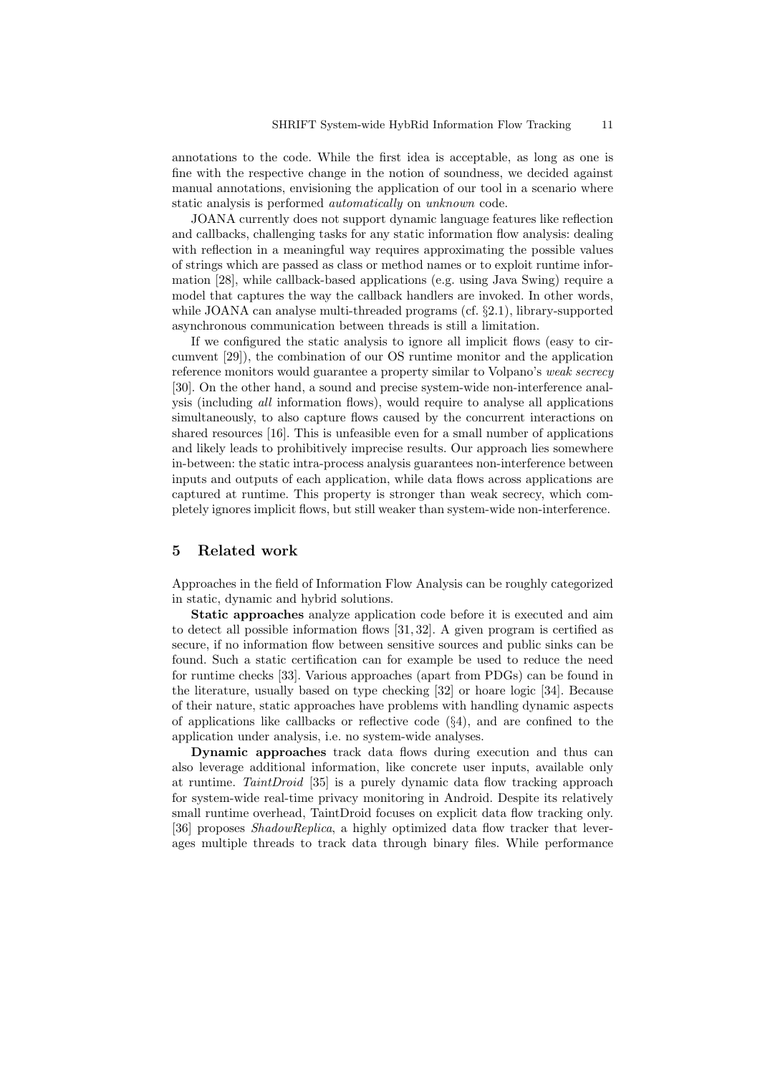annotations to the code. While the first idea is acceptable, as long as one is fine with the respective change in the notion of soundness, we decided against manual annotations, envisioning the application of our tool in a scenario where static analysis is performed automatically on unknown code.

JOANA currently does not support dynamic language features like reflection and callbacks, challenging tasks for any static information flow analysis: dealing with reflection in a meaningful way requires approximating the possible values of strings which are passed as class or method names or to exploit runtime information [28], while callback-based applications (e.g. using Java Swing) require a model that captures the way the callback handlers are invoked. In other words, while JOANA can analyse multi-threaded programs (cf. §2.1), library-supported asynchronous communication between threads is still a limitation.

If we configured the static analysis to ignore all implicit flows (easy to circumvent [29]), the combination of our OS runtime monitor and the application reference monitors would guarantee a property similar to Volpano's weak secrecy [30]. On the other hand, a sound and precise system-wide non-interference analysis (including all information flows), would require to analyse all applications simultaneously, to also capture flows caused by the concurrent interactions on shared resources [16]. This is unfeasible even for a small number of applications and likely leads to prohibitively imprecise results. Our approach lies somewhere in-between: the static intra-process analysis guarantees non-interference between inputs and outputs of each application, while data flows across applications are captured at runtime. This property is stronger than weak secrecy, which completely ignores implicit flows, but still weaker than system-wide non-interference.

# 5 Related work

Approaches in the field of Information Flow Analysis can be roughly categorized in static, dynamic and hybrid solutions.

Static approaches analyze application code before it is executed and aim to detect all possible information flows [31, 32]. A given program is certified as secure, if no information flow between sensitive sources and public sinks can be found. Such a static certification can for example be used to reduce the need for runtime checks [33]. Various approaches (apart from PDGs) can be found in the literature, usually based on type checking [32] or hoare logic [34]. Because of their nature, static approaches have problems with handling dynamic aspects of applications like callbacks or reflective code (§4), and are confined to the application under analysis, i.e. no system-wide analyses.

Dynamic approaches track data flows during execution and thus can also leverage additional information, like concrete user inputs, available only at runtime. TaintDroid [35] is a purely dynamic data flow tracking approach for system-wide real-time privacy monitoring in Android. Despite its relatively small runtime overhead, TaintDroid focuses on explicit data flow tracking only. [36] proposes *ShadowReplica*, a highly optimized data flow tracker that leverages multiple threads to track data through binary files. While performance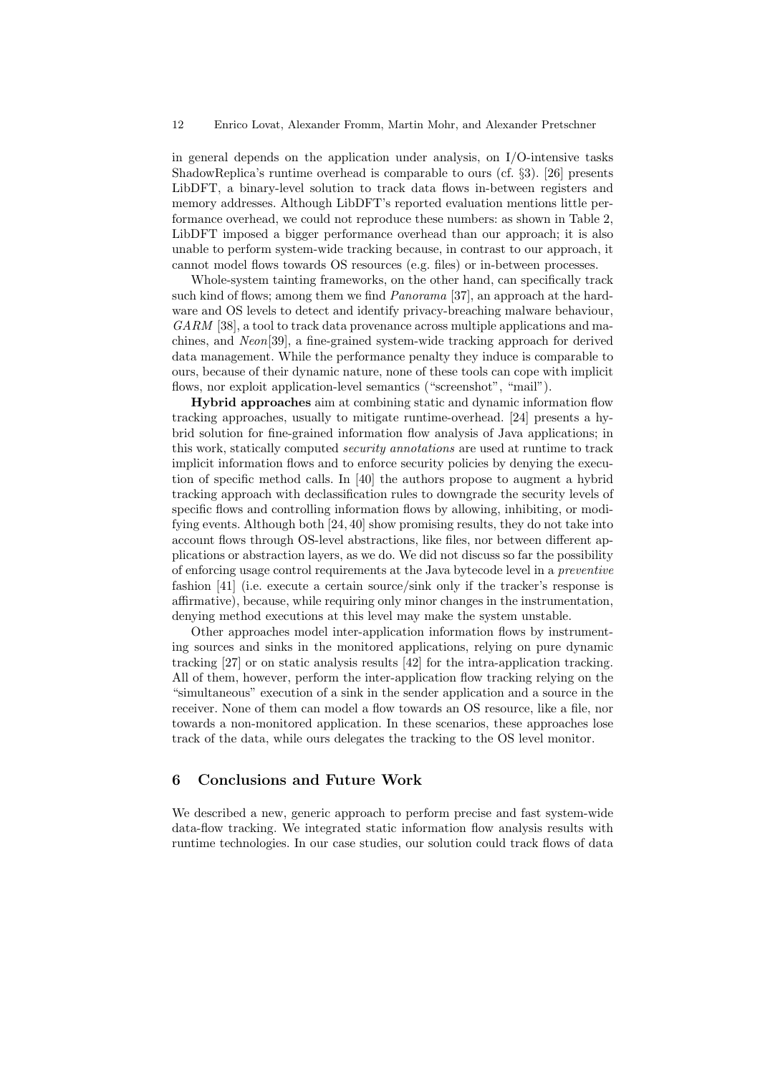in general depends on the application under analysis, on I/O-intensive tasks ShadowReplica's runtime overhead is comparable to ours (cf. §3). [26] presents LibDFT, a binary-level solution to track data flows in-between registers and memory addresses. Although LibDFT's reported evaluation mentions little performance overhead, we could not reproduce these numbers: as shown in Table 2, LibDFT imposed a bigger performance overhead than our approach; it is also unable to perform system-wide tracking because, in contrast to our approach, it cannot model flows towards OS resources (e.g. files) or in-between processes.

Whole-system tainting frameworks, on the other hand, can specifically track such kind of flows; among them we find Panorama [37], an approach at the hardware and OS levels to detect and identify privacy-breaching malware behaviour, GARM [38], a tool to track data provenance across multiple applications and machines, and Neon[39], a fine-grained system-wide tracking approach for derived data management. While the performance penalty they induce is comparable to ours, because of their dynamic nature, none of these tools can cope with implicit flows, nor exploit application-level semantics ("screenshot", "mail").

Hybrid approaches aim at combining static and dynamic information flow tracking approaches, usually to mitigate runtime-overhead. [24] presents a hybrid solution for fine-grained information flow analysis of Java applications; in this work, statically computed security annotations are used at runtime to track implicit information flows and to enforce security policies by denying the execution of specific method calls. In [40] the authors propose to augment a hybrid tracking approach with declassification rules to downgrade the security levels of specific flows and controlling information flows by allowing, inhibiting, or modifying events. Although both [24, 40] show promising results, they do not take into account flows through OS-level abstractions, like files, nor between different applications or abstraction layers, as we do. We did not discuss so far the possibility of enforcing usage control requirements at the Java bytecode level in a preventive fashion [41] (i.e. execute a certain source/sink only if the tracker's response is affirmative), because, while requiring only minor changes in the instrumentation, denying method executions at this level may make the system unstable.

Other approaches model inter-application information flows by instrumenting sources and sinks in the monitored applications, relying on pure dynamic tracking [27] or on static analysis results [42] for the intra-application tracking. All of them, however, perform the inter-application flow tracking relying on the "simultaneous" execution of a sink in the sender application and a source in the receiver. None of them can model a flow towards an OS resource, like a file, nor towards a non-monitored application. In these scenarios, these approaches lose track of the data, while ours delegates the tracking to the OS level monitor.

# 6 Conclusions and Future Work

We described a new, generic approach to perform precise and fast system-wide data-flow tracking. We integrated static information flow analysis results with runtime technologies. In our case studies, our solution could track flows of data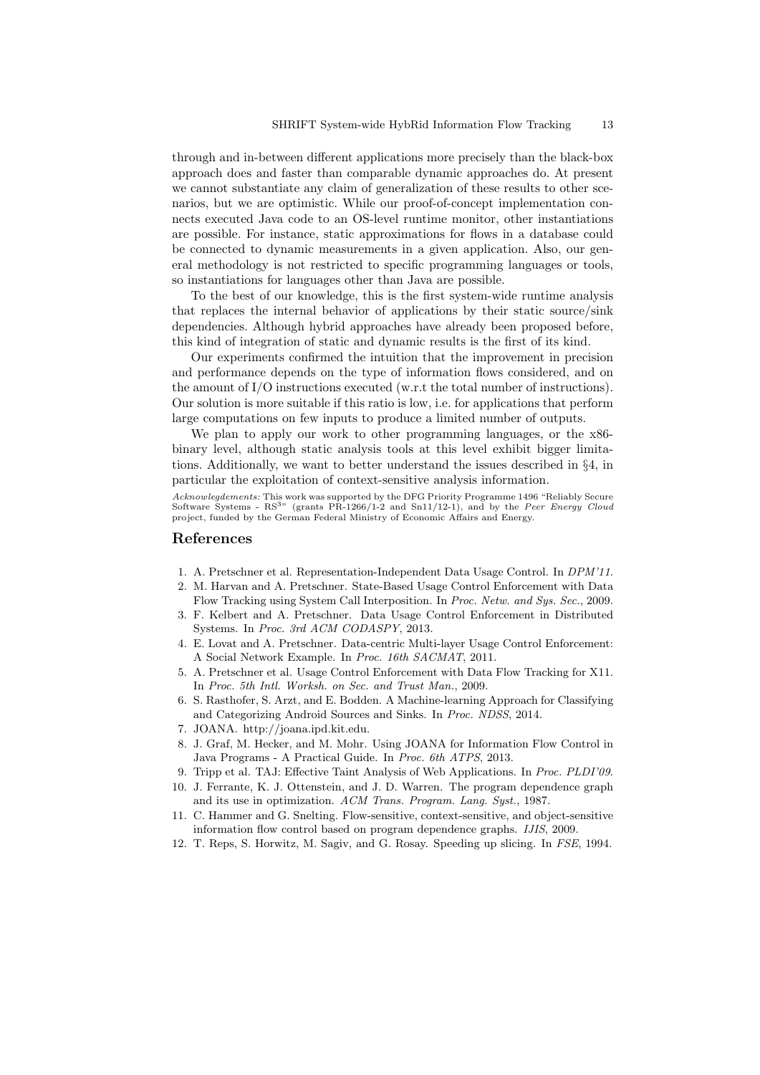through and in-between different applications more precisely than the black-box approach does and faster than comparable dynamic approaches do. At present we cannot substantiate any claim of generalization of these results to other scenarios, but we are optimistic. While our proof-of-concept implementation connects executed Java code to an OS-level runtime monitor, other instantiations are possible. For instance, static approximations for flows in a database could be connected to dynamic measurements in a given application. Also, our general methodology is not restricted to specific programming languages or tools, so instantiations for languages other than Java are possible.

To the best of our knowledge, this is the first system-wide runtime analysis that replaces the internal behavior of applications by their static source/sink dependencies. Although hybrid approaches have already been proposed before, this kind of integration of static and dynamic results is the first of its kind.

Our experiments confirmed the intuition that the improvement in precision and performance depends on the type of information flows considered, and on the amount of I/O instructions executed (w.r.t the total number of instructions). Our solution is more suitable if this ratio is low, i.e. for applications that perform large computations on few inputs to produce a limited number of outputs.

We plan to apply our work to other programming languages, or the x86 binary level, although static analysis tools at this level exhibit bigger limitations. Additionally, we want to better understand the issues described in §4, in particular the exploitation of context-sensitive analysis information.

Acknowlegdements: This work was supported by the DFG Priority Programme 1496 "Reliably Secure<br>Software Systems - RS<sup>3</sup>" (grants PR-1266/1-2 and Sn11/12-1), and by the *Peer Energy Cloud* project, funded by the German Federal Ministry of Economic Affairs and Energy.

## References

- 1. A. Pretschner et al. Representation-Independent Data Usage Control. In DPM'11.
- 2. M. Harvan and A. Pretschner. State-Based Usage Control Enforcement with Data Flow Tracking using System Call Interposition. In Proc. Netw. and Sys. Sec., 2009.
- 3. F. Kelbert and A. Pretschner. Data Usage Control Enforcement in Distributed Systems. In Proc. 3rd ACM CODASPY, 2013.
- 4. E. Lovat and A. Pretschner. Data-centric Multi-layer Usage Control Enforcement: A Social Network Example. In Proc. 16th SACMAT, 2011.
- 5. A. Pretschner et al. Usage Control Enforcement with Data Flow Tracking for X11. In Proc. 5th Intl. Worksh. on Sec. and Trust Man., 2009.
- 6. S. Rasthofer, S. Arzt, and E. Bodden. A Machine-learning Approach for Classifying and Categorizing Android Sources and Sinks. In Proc. NDSS, 2014.
- 7. JOANA. http://joana.ipd.kit.edu.
- 8. J. Graf, M. Hecker, and M. Mohr. Using JOANA for Information Flow Control in Java Programs - A Practical Guide. In Proc. 6th ATPS, 2013.
- 9. Tripp et al. TAJ: Effective Taint Analysis of Web Applications. In Proc. PLDI'09.
- 10. J. Ferrante, K. J. Ottenstein, and J. D. Warren. The program dependence graph and its use in optimization. ACM Trans. Program. Lang. Syst., 1987.
- 11. C. Hammer and G. Snelting. Flow-sensitive, context-sensitive, and object-sensitive information flow control based on program dependence graphs. IJIS, 2009.
- 12. T. Reps, S. Horwitz, M. Sagiv, and G. Rosay. Speeding up slicing. In FSE, 1994.